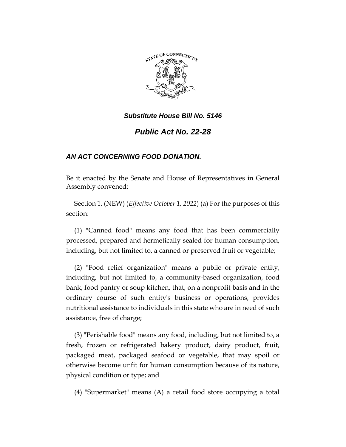

# *Public Act No. 22-28*

## *AN ACT CONCERNING FOOD DONATION.*

Be it enacted by the Senate and House of Representatives in General Assembly convened:

Section 1. (NEW) (*Effective October 1, 2022*) (a) For the purposes of this section:

(1) "Canned food" means any food that has been commercially processed, prepared and hermetically sealed for human consumption, including, but not limited to, a canned or preserved fruit or vegetable;

(2) "Food relief organization" means a public or private entity, including, but not limited to, a community-based organization, food bank, food pantry or soup kitchen, that, on a nonprofit basis and in the ordinary course of such entity's business or operations, provides nutritional assistance to individuals in this state who are in need of such assistance, free of charge;

(3) "Perishable food" means any food, including, but not limited to, a fresh, frozen or refrigerated bakery product, dairy product, fruit, packaged meat, packaged seafood or vegetable, that may spoil or otherwise become unfit for human consumption because of its nature, physical condition or type; and

(4) "Supermarket" means (A) a retail food store occupying a total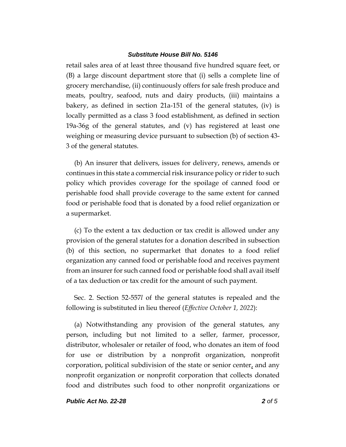retail sales area of at least three thousand five hundred square feet, or (B) a large discount department store that (i) sells a complete line of grocery merchandise, (ii) continuously offers for sale fresh produce and meats, poultry, seafood, nuts and dairy products, (iii) maintains a bakery, as defined in section 21a-151 of the general statutes, (iv) is locally permitted as a class 3 food establishment, as defined in section 19a-36g of the general statutes, and (v) has registered at least one weighing or measuring device pursuant to subsection (b) of section 43- 3 of the general statutes.

(b) An insurer that delivers, issues for delivery, renews, amends or continues in this state a commercial risk insurance policy or rider to such policy which provides coverage for the spoilage of canned food or perishable food shall provide coverage to the same extent for canned food or perishable food that is donated by a food relief organization or a supermarket.

(c) To the extent a tax deduction or tax credit is allowed under any provision of the general statutes for a donation described in subsection (b) of this section, no supermarket that donates to a food relief organization any canned food or perishable food and receives payment from an insurer for such canned food or perishable food shall avail itself of a tax deduction or tax credit for the amount of such payment.

Sec. 2. Section 52-557*l* of the general statutes is repealed and the following is substituted in lieu thereof (*Effective October 1, 2022*):

(a) Notwithstanding any provision of the general statutes, any person, including but not limited to a seller, farmer, processor, distributor, wholesaler or retailer of food, who donates an item of food for use or distribution by a nonprofit organization, nonprofit corporation, political subdivision of the state or senior center, and any nonprofit organization or nonprofit corporation that collects donated food and distributes such food to other nonprofit organizations or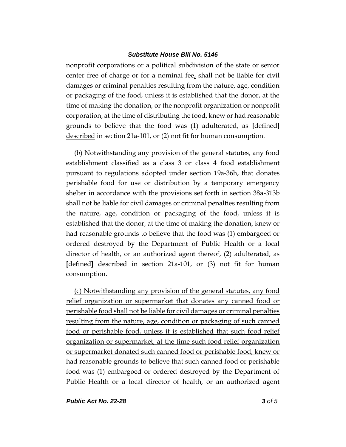nonprofit corporations or a political subdivision of the state or senior center free of charge or for a nominal fee, shall not be liable for civil damages or criminal penalties resulting from the nature, age, condition or packaging of the food, unless it is established that the donor, at the time of making the donation, or the nonprofit organization or nonprofit corporation, at the time of distributing the food, knew or had reasonable grounds to believe that the food was (1) adulterated, as **[**defined**]** described in section 21a-101, or (2) not fit for human consumption.

(b) Notwithstanding any provision of the general statutes, any food establishment classified as a class 3 or class 4 food establishment pursuant to regulations adopted under section 19a-36h, that donates perishable food for use or distribution by a temporary emergency shelter in accordance with the provisions set forth in section 38a-313b shall not be liable for civil damages or criminal penalties resulting from the nature, age, condition or packaging of the food, unless it is established that the donor, at the time of making the donation, knew or had reasonable grounds to believe that the food was (1) embargoed or ordered destroyed by the Department of Public Health or a local director of health, or an authorized agent thereof, (2) adulterated, as **[**defined**]** described in section 21a-101, or (3) not fit for human consumption.

(c) Notwithstanding any provision of the general statutes, any food relief organization or supermarket that donates any canned food or perishable food shall not be liable for civil damages or criminal penalties resulting from the nature, age, condition or packaging of such canned food or perishable food, unless it is established that such food relief organization or supermarket, at the time such food relief organization or supermarket donated such canned food or perishable food, knew or had reasonable grounds to believe that such canned food or perishable food was (1) embargoed or ordered destroyed by the Department of Public Health or a local director of health, or an authorized agent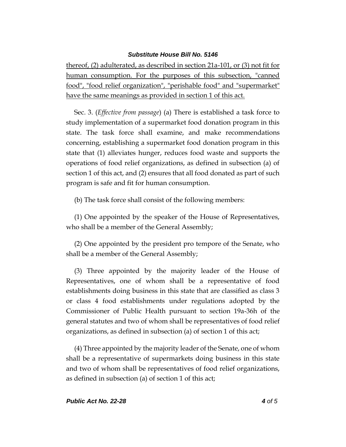thereof, (2) adulterated, as described in section 21a-101, or (3) not fit for human consumption. For the purposes of this subsection, "canned food", "food relief organization", "perishable food" and "supermarket" have the same meanings as provided in section 1 of this act.

Sec. 3. (*Effective from passage*) (a) There is established a task force to study implementation of a supermarket food donation program in this state. The task force shall examine, and make recommendations concerning, establishing a supermarket food donation program in this state that (1) alleviates hunger, reduces food waste and supports the operations of food relief organizations, as defined in subsection (a) of section 1 of this act, and (2) ensures that all food donated as part of such program is safe and fit for human consumption.

(b) The task force shall consist of the following members:

(1) One appointed by the speaker of the House of Representatives, who shall be a member of the General Assembly;

(2) One appointed by the president pro tempore of the Senate, who shall be a member of the General Assembly;

(3) Three appointed by the majority leader of the House of Representatives, one of whom shall be a representative of food establishments doing business in this state that are classified as class 3 or class 4 food establishments under regulations adopted by the Commissioner of Public Health pursuant to section 19a-36h of the general statutes and two of whom shall be representatives of food relief organizations, as defined in subsection (a) of section 1 of this act;

(4) Three appointed by the majority leader of the Senate, one of whom shall be a representative of supermarkets doing business in this state and two of whom shall be representatives of food relief organizations, as defined in subsection (a) of section 1 of this act;